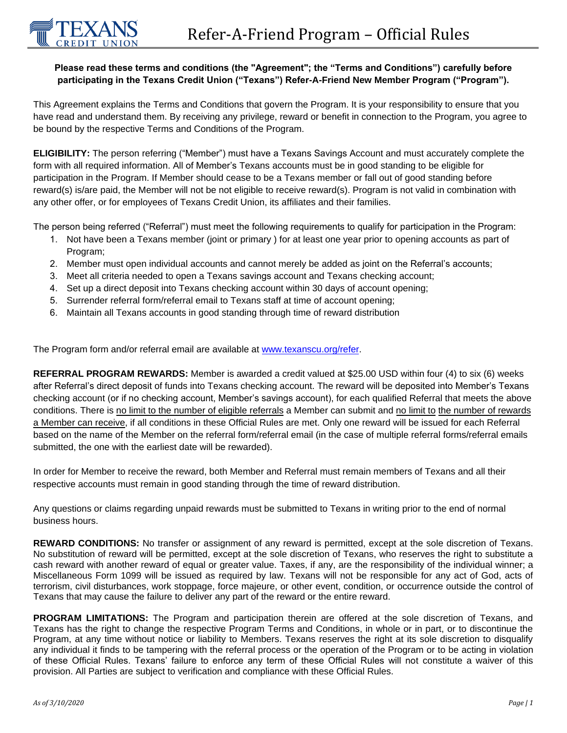## **Please read these terms and conditions (the "Agreement"; the "Terms and Conditions") carefully before participating in the Texans Credit Union ("Texans") Refer-A-Friend New Member Program ("Program").**

This Agreement explains the Terms and Conditions that govern the Program. It is your responsibility to ensure that you have read and understand them. By receiving any privilege, reward or benefit in connection to the Program, you agree to be bound by the respective Terms and Conditions of the Program.

**ELIGIBILITY:** The person referring ("Member") must have a Texans Savings Account and must accurately complete the form with all required information. All of Member's Texans accounts must be in good standing to be eligible for participation in the Program. If Member should cease to be a Texans member or fall out of good standing before reward(s) is/are paid, the Member will not be not eligible to receive reward(s). Program is not valid in combination with any other offer, or for employees of Texans Credit Union, its affiliates and their families.

The person being referred ("Referral") must meet the following requirements to qualify for participation in the Program:

- 1. Not have been a Texans member (joint or primary ) for at least one year prior to opening accounts as part of Program:
- 2. Member must open individual accounts and cannot merely be added as joint on the Referral's accounts;
- 3. Meet all criteria needed to open a Texans savings account and Texans checking account;
- 4. Set up a direct deposit into Texans checking account within 30 days of account opening;
- 5. Surrender referral form/referral email to Texans staff at time of account opening;
- 6. Maintain all Texans accounts in good standing through time of reward distribution

The Program form and/or referral email are available at www.texanscu.org/refer.

**REFERRAL PROGRAM REWARDS:** Member is awarded a credit valued at \$25.00 USD within four (4) to six (6) weeks after Referral's direct deposit of funds into Texans checking account. The reward will be deposited into Member's Texans checking account (or if no checking account, Member's savings account), for each qualified Referral that meets the above conditions. There is no limit to the number of eligible referrals a Member can submit and no limit to the number of rewards a Member can receive, if all conditions in these Official Rules are met. Only one reward will be issued for each Referral based on the name of the Member on the referral form/referral email (in the case of multiple referral forms/referral emails submitted, the one with the earliest date will be rewarded).

In order for Member to receive the reward, both Member and Referral must remain members of Texans and all their respective accounts must remain in good standing through the time of reward distribution.

Any questions or claims regarding unpaid rewards must be submitted to Texans in writing prior to the end of normal business hours.

**REWARD CONDITIONS:** No transfer or assignment of any reward is permitted, except at the sole discretion of Texans. No substitution of reward will be permitted, except at the sole discretion of Texans, who reserves the right to substitute a cash reward with another reward of equal or greater value. Taxes, if any, are the responsibility of the individual winner; a Miscellaneous Form 1099 will be issued as required by law. Texans will not be responsible for any act of God, acts of terrorism, civil disturbances, work stoppage, force majeure, or other event, condition, or occurrence outside the control of Texans that may cause the failure to deliver any part of the reward or the entire reward.

**PROGRAM LIMITATIONS:** The Program and participation therein are offered at the sole discretion of Texans, and Texans has the right to change the respective Program Terms and Conditions, in whole or in part, or to discontinue the Program, at any time without notice or liability to Members. Texans reserves the right at its sole discretion to disqualify any individual it finds to be tampering with the referral process or the operation of the Program or to be acting in violation of these Official Rules. Texans' failure to enforce any term of these Official Rules will not constitute a waiver of this provision. All Parties are subject to verification and compliance with these Official Rules.